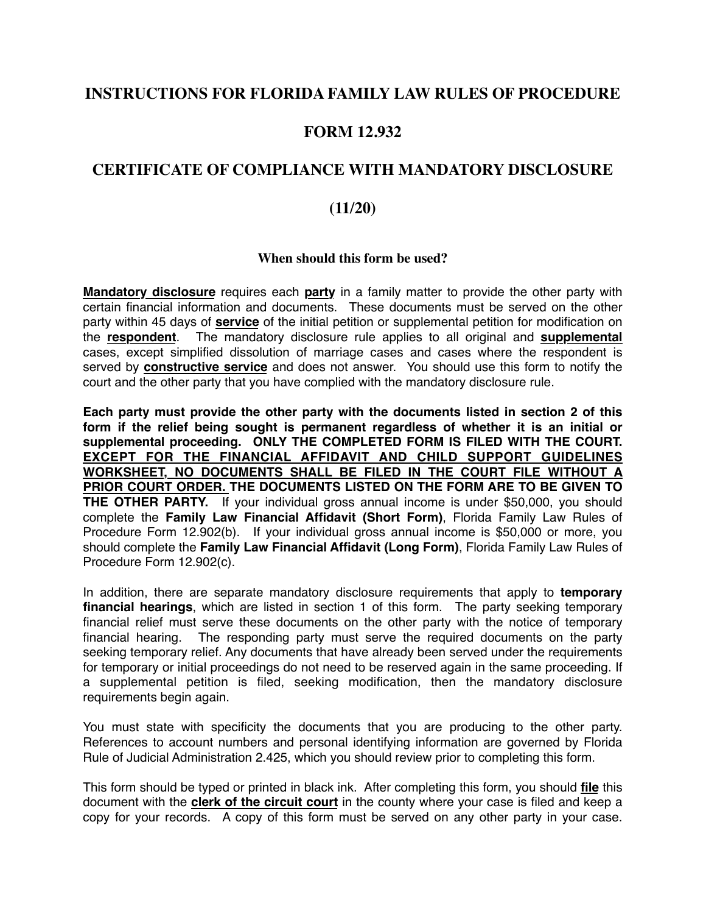## **INSTRUCTIONS FOR FLORIDA FAMILY LAW RULES OF PROCEDURE**

## **FORM 12.932**

## **CERTIFICATE OF COMPLIANCE WITH MANDATORY DISCLOSURE**

### **(11/20)**

#### **When should this form be used?**

**Mandatory disclosure** requires each **party** in a family matter to provide the other party with certain financial information and documents. These documents must be served on the other party within 45 days of **service** of the initial petition or supplemental petition for modification on the **respondent**. The mandatory disclosure rule applies to all original and **supplemental** cases, except simplified dissolution of marriage cases and cases where the respondent is served by **constructive service** and does not answer. You should use this form to notify the court and the other party that you have complied with the mandatory disclosure rule.

**Each party must provide the other party with the documents listed in section 2 of this form if the relief being sought is permanent regardless of whether it is an initial or supplemental proceeding. ONLY THE COMPLETED FORM IS FILED WITH THE COURT. EXCEPT FOR THE FINANCIAL AFFIDAVIT AND CHILD SUPPORT GUIDELINES WORKSHEET, NO DOCUMENTS SHALL BE FILED IN THE COURT FILE WITHOUT A PRIOR COURT ORDER. THE DOCUMENTS LISTED ON THE FORM ARE TO BE GIVEN TO THE OTHER PARTY.** If your individual gross annual income is under \$50,000, you should complete the **Family Law Financial Affidavit (Short Form)**, Florida Family Law Rules of Procedure Form 12.902(b). If your individual gross annual income is \$50,000 or more, you should complete the **Family Law Financial Affidavit (Long Form)**, Florida Family Law Rules of Procedure Form 12.902(c).

In addition, there are separate mandatory disclosure requirements that apply to **temporary financial hearings**, which are listed in section 1 of this form. The party seeking temporary financial relief must serve these documents on the other party with the notice of temporary financial hearing. The responding party must serve the required documents on the party seeking temporary relief. Any documents that have already been served under the requirements for temporary or initial proceedings do not need to be reserved again in the same proceeding. If a supplemental petition is filed, seeking modification, then the mandatory disclosure requirements begin again.

You must state with specificity the documents that you are producing to the other party. References to account numbers and personal identifying information are governed by Florida Rule of Judicial Administration 2.425, which you should review prior to completing this form.

This form should be typed or printed in black ink. After completing this form, you should **file** this document with the **clerk of the circuit court** in the county where your case is filed and keep a copy for your records. A copy of this form must be served on any other party in your case.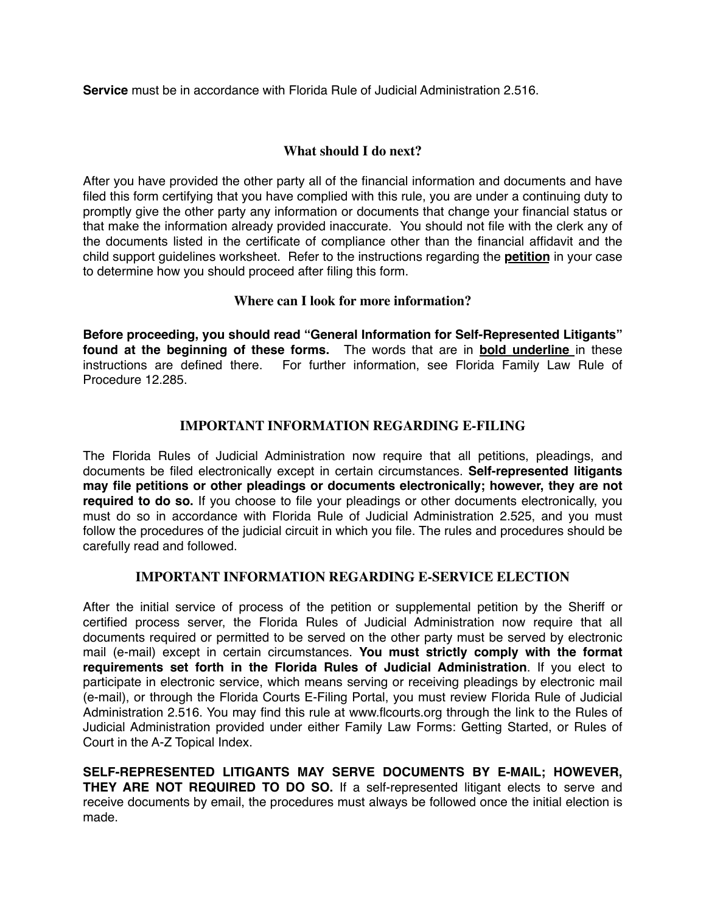**Service** must be in accordance with Florida Rule of Judicial Administration 2.516.

#### **What should I do next?**

After you have provided the other party all of the financial information and documents and have filed this form certifying that you have complied with this rule, you are under a continuing duty to promptly give the other party any information or documents that change your financial status or that make the information already provided inaccurate. You should not file with the clerk any of the documents listed in the certificate of compliance other than the financial affidavit and the child support guidelines worksheet. Refer to the instructions regarding the **petition** in your case to determine how you should proceed after filing this form.

#### **Where can I look for more information?**

**Before proceeding, you should read "General Information for Self-Represented Litigants" found at the beginning of these forms.** The words that are in **bold underline** in these instructions are defined there. For further information, see Florida Family Law Rule of Procedure 12.285.

#### **IMPORTANT INFORMATION REGARDING E-FILING**

The Florida Rules of Judicial Administration now require that all petitions, pleadings, and documents be filed electronically except in certain circumstances. **Self-represented litigants may file petitions or other pleadings or documents electronically; however, they are not required to do so.** If you choose to file your pleadings or other documents electronically, you must do so in accordance with Florida Rule of Judicial Administration 2.525, and you must follow the procedures of the judicial circuit in which you file. The rules and procedures should be carefully read and followed.

#### **IMPORTANT INFORMATION REGARDING E-SERVICE ELECTION**

After the initial service of process of the petition or supplemental petition by the Sheriff or certified process server, the Florida Rules of Judicial Administration now require that all documents required or permitted to be served on the other party must be served by electronic mail (e-mail) except in certain circumstances. **You must strictly comply with the format requirements set forth in the Florida Rules of Judicial Administration**. If you elect to participate in electronic service, which means serving or receiving pleadings by electronic mail (e-mail), or through the Florida Courts E-Filing Portal, you must review Florida Rule of Judicial Administration 2.516. You may find this rule at www.flcourts.org through the link to the Rules of Judicial Administration provided under either Family Law Forms: Getting Started, or Rules of Court in the A-Z Topical Index.

**SELF-REPRESENTED LITIGANTS MAY SERVE DOCUMENTS BY E-MAIL; HOWEVER, THEY ARE NOT REQUIRED TO DO SO.** If a self-represented litigant elects to serve and receive documents by email, the procedures must always be followed once the initial election is made.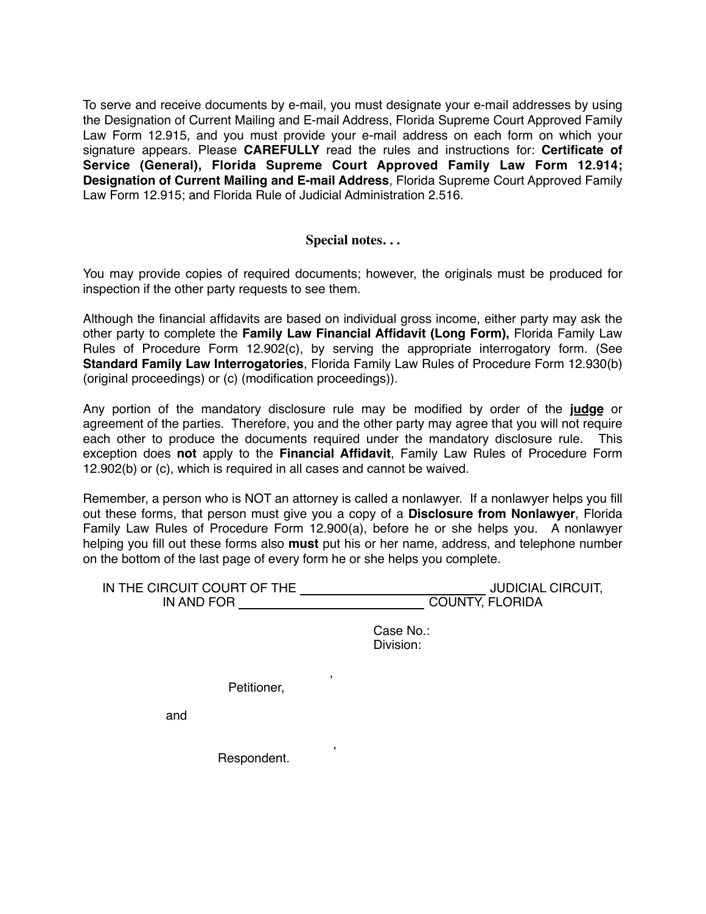To serve and receive documents by e-mail, you must designate your e-mail addresses by using the Designation of Current Mailing and E-mail Address, Florida Supreme Court Approved Family Law Form 12.915, and you must provide your e-mail address on each form on which your signature appears. Please **CAREFULLY** read the rules and instructions for: **Certificate of Service (General), Florida Supreme Court Approved Family Law Form 12.914; Designation of Current Mailing and E-mail Address**, Florida Supreme Court Approved Family Law Form 12.915; and Florida Rule of Judicial Administration 2.516.

#### **Special notes. . .**

You may provide copies of required documents; however, the originals must be produced for inspection if the other party requests to see them.

Although the financial affidavits are based on individual gross income, either party may ask the other party to complete the **Family Law Financial Affidavit (Long Form),** Florida Family Law Rules of Procedure Form 12.902(c), by serving the appropriate interrogatory form. (See **Standard Family Law Interrogatories**, Florida Family Law Rules of Procedure Form 12.930(b) (original proceedings) or (c) (modification proceedings)).

Any portion of the mandatory disclosure rule may be modified by order of the **judge** or agreement of the parties. Therefore, you and the other party may agree that you will not require each other to produce the documents required under the mandatory disclosure rule. This exception does **not** apply to the **Financial Affidavit**, Family Law Rules of Procedure Form 12.902(b) or (c), which is required in all cases and cannot be waived.

Remember, a person who is NOT an attorney is called a nonlawyer. If a nonlawyer helps you fill out these forms, that person must give you a copy of a **Disclosure from Nonlawyer**, Florida Family Law Rules of Procedure Form 12.900(a), before he or she helps you. A nonlawyer helping you fill out these forms also **must** put his or her name, address, and telephone number on the bottom of the last page of every form he or she helps you complete.

| IN THE CIRCUIT COURT OF THE | <b>JUDICIAL CIRCUIT,</b> |
|-----------------------------|--------------------------|
| IN AND FOR                  | <b>COUNTY, FLORIDA</b>   |

Case No.: Division:

 , Petitioner,

and

 , Respondent.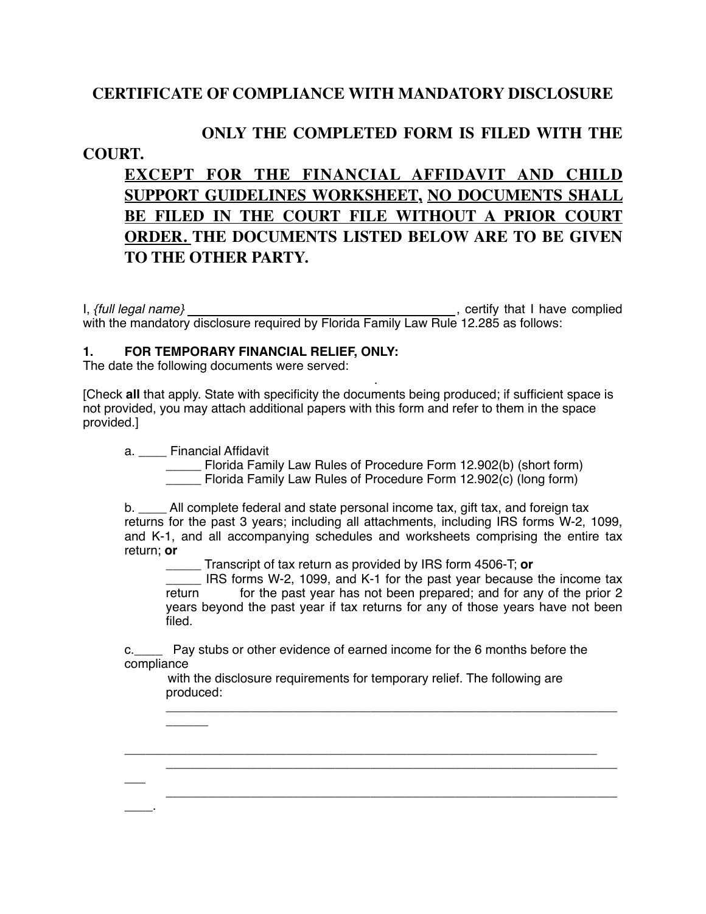## **CERTIFICATE OF COMPLIANCE WITH MANDATORY DISCLOSURE**

# **ONLY THE COMPLETED FORM IS FILED WITH THE**

## **COURT.**

**EXCEPT FOR THE FINANCIAL AFFIDAVIT AND CHILD SUPPORT GUIDELINES WORKSHEET, NO DOCUMENTS SHALL BE FILED IN THE COURT FILE WITHOUT A PRIOR COURT ORDER. THE DOCUMENTS LISTED BELOW ARE TO BE GIVEN TO THE OTHER PARTY.**

I, *{full legal name}* , certify that I have complied with the mandatory disclosure required by Florida Family Law Rule 12.285 as follows:

#### **1. FOR TEMPORARY FINANCIAL RELIEF, ONLY:**

The date the following documents were served:

 . [Check **all** that apply. State with specificity the documents being produced; if sufficient space is not provided, you may attach additional papers with this form and refer to them in the space provided.]

a. Financial Affidavit

 $\overline{\phantom{a}}$ 

 $\overline{\phantom{a}}$ 

 $\overline{\phantom{a}}$ 

 \_\_\_\_\_ Florida Family Law Rules of Procedure Form 12.902(b) (short form) \_\_\_\_\_ Florida Family Law Rules of Procedure Form 12.902(c) (long form)

b. \_\_\_\_ All complete federal and state personal income tax, gift tax, and foreign tax returns for the past 3 years; including all attachments, including IRS forms W-2, 1099, and K-1, and all accompanying schedules and worksheets comprising the entire tax return; **or**

\_\_\_\_\_ Transcript of tax return as provided by IRS form 4506-T; **or**

IRS forms W-2, 1099, and K-1 for the past year because the income tax return for the past year has not been prepared; and for any of the prior 2 years beyond the past year if tax returns for any of those years have not been filed.

\_\_\_\_\_\_\_\_\_\_\_\_\_\_\_\_\_\_\_\_\_\_\_\_\_\_\_\_\_\_\_\_\_\_\_\_\_\_\_\_\_\_\_\_\_\_\_\_\_\_\_\_\_\_\_\_\_\_\_\_\_\_\_\_

\_\_\_\_\_\_\_\_\_\_\_\_\_\_\_\_\_\_\_\_\_\_\_\_\_\_\_\_\_\_\_\_\_\_\_\_\_\_\_\_\_\_\_\_\_\_\_\_\_\_\_\_\_\_\_\_\_\_\_\_\_\_\_\_

\_\_\_\_\_\_\_\_\_\_\_\_\_\_\_\_\_\_\_\_\_\_\_\_\_\_\_\_\_\_\_\_\_\_\_\_\_\_\_\_\_\_\_\_\_\_\_\_\_\_\_\_\_\_\_\_\_\_\_\_\_\_\_\_

c.\_\_\_\_ Pay stubs or other evidence of earned income for the 6 months before the compliance

with the disclosure requirements for temporary relief. The following are produced:

\_\_\_\_\_\_\_\_\_\_\_\_\_\_\_\_\_\_\_\_\_\_\_\_\_\_\_\_\_\_\_\_\_\_\_\_\_\_\_\_\_\_\_\_\_\_\_\_\_\_\_\_\_\_\_\_\_\_\_\_\_\_\_\_\_\_\_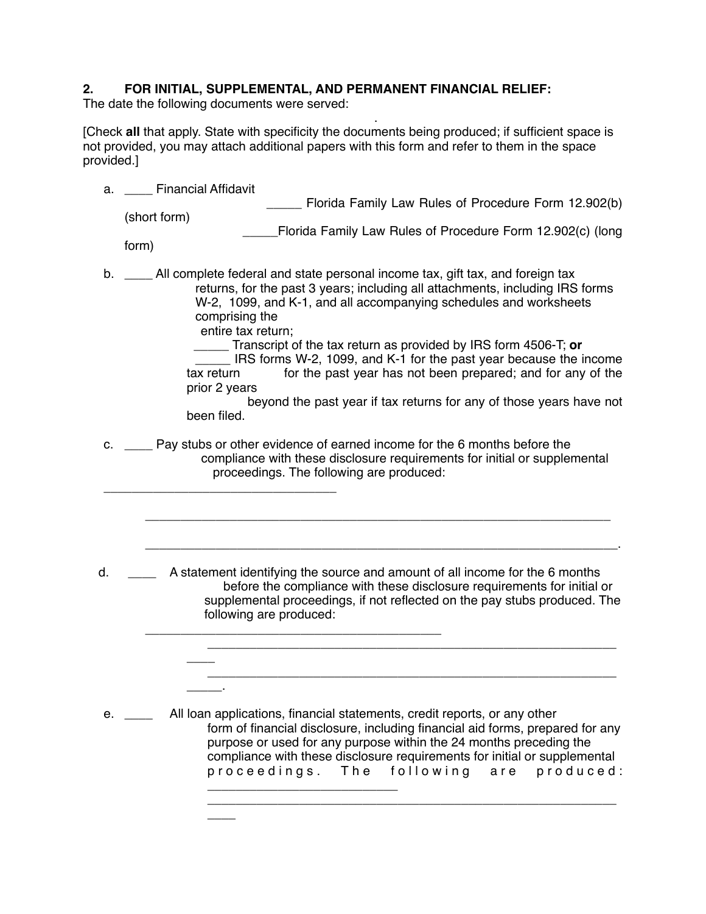# **2. FOR INITIAL, SUPPLEMENTAL, AND PERMANENT FINANCIAL RELIEF:**

The date the following documents were served:

 . [Check **all** that apply. State with specificity the documents being produced; if sufficient space is not provided, you may attach additional papers with this form and refer to them in the space provided.]

| a. | <b>Financial Affidavit</b>                                                                                                                                                                                                                                                                                                                                                                                                                                                                                                                                                                               |
|----|----------------------------------------------------------------------------------------------------------------------------------------------------------------------------------------------------------------------------------------------------------------------------------------------------------------------------------------------------------------------------------------------------------------------------------------------------------------------------------------------------------------------------------------------------------------------------------------------------------|
|    | Florida Family Law Rules of Procedure Form 12.902(b)                                                                                                                                                                                                                                                                                                                                                                                                                                                                                                                                                     |
|    | (short form)<br>Florida Family Law Rules of Procedure Form 12.902(c) (long                                                                                                                                                                                                                                                                                                                                                                                                                                                                                                                               |
|    | form)                                                                                                                                                                                                                                                                                                                                                                                                                                                                                                                                                                                                    |
| b. | All complete federal and state personal income tax, gift tax, and foreign tax<br>returns, for the past 3 years; including all attachments, including IRS forms<br>W-2, 1099, and K-1, and all accompanying schedules and worksheets<br>comprising the<br>entire tax return;<br>_Transcript of the tax return as provided by IRS form 4506-T; or<br>IRS forms W-2, 1099, and K-1 for the past year because the income<br>for the past year has not been prepared; and for any of the<br>tax return<br>prior 2 years<br>beyond the past year if tax returns for any of those years have not<br>been filed. |
| c. | Pay stubs or other evidence of earned income for the 6 months before the<br>compliance with these disclosure requirements for initial or supplemental<br>proceedings. The following are produced:                                                                                                                                                                                                                                                                                                                                                                                                        |
| d. | A statement identifying the source and amount of all income for the 6 months<br>before the compliance with these disclosure requirements for initial or<br>supplemental proceedings, if not reflected on the pay stubs produced. The<br>following are produced:                                                                                                                                                                                                                                                                                                                                          |
|    | All loan applications, financial statements, credit reports, or any other<br>form of financial disclosure, including financial aid forms, prepared for any<br>purpose or used for any purpose within the 24 months preceding the<br>compliance with these disclosure requirements for initial or supplemental<br>proceedings. The following are produced:                                                                                                                                                                                                                                                |
|    |                                                                                                                                                                                                                                                                                                                                                                                                                                                                                                                                                                                                          |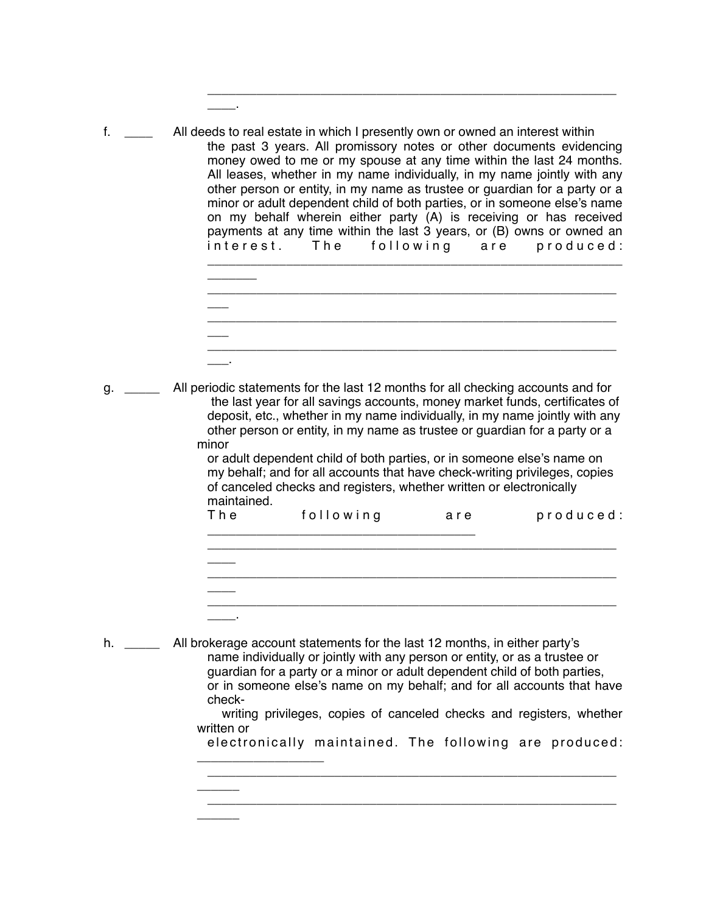| f. | All deeds to real estate in which I presently own or owned an interest within<br>the past 3 years. All promissory notes or other documents evidencing<br>money owed to me or my spouse at any time within the last 24 months.<br>All leases, whether in my name individually, in my name jointly with any<br>other person or entity, in my name as trustee or guardian for a party or a<br>minor or adult dependent child of both parties, or in someone else's name<br>on my behalf wherein either party (A) is receiving or has received<br>payments at any time within the last 3 years, or (B) owns or owned an<br>interest. The following are produced: |
|----|--------------------------------------------------------------------------------------------------------------------------------------------------------------------------------------------------------------------------------------------------------------------------------------------------------------------------------------------------------------------------------------------------------------------------------------------------------------------------------------------------------------------------------------------------------------------------------------------------------------------------------------------------------------|
|    |                                                                                                                                                                                                                                                                                                                                                                                                                                                                                                                                                                                                                                                              |

\_\_\_\_.

| _______<br>_______ |  |  |  |
|--------------------|--|--|--|
|                    |  |  |  |
|                    |  |  |  |
|                    |  |  |  |

\_\_\_\_\_\_\_\_\_\_\_\_\_\_\_\_\_\_\_\_\_\_\_\_\_\_\_\_\_\_\_\_\_\_\_\_\_\_\_\_\_\_\_\_\_\_\_\_\_\_\_\_\_\_\_\_\_\_

g. \_\_\_\_\_ All periodic statements for the last 12 months for all checking accounts and for the last year for all savings accounts, money market funds, certificates of deposit, etc., whether in my name individually, in my name jointly with any other person or entity, in my name as trustee or guardian for a party or a minor

> or adult dependent child of both parties, or in someone else's name on my behalf; and for all accounts that have check-writing privileges, copies of canceled checks and registers, whether written or electronically maintained.

| The | following | are | produced: |
|-----|-----------|-----|-----------|
|     |           |     |           |
|     |           |     |           |
|     |           |     |           |
|     |           |     |           |

h. \_\_\_\_\_ All brokerage account statements for the last 12 months, in either party's name individually or jointly with any person or entity, or as a trustee or guardian for a party or a minor or adult dependent child of both parties, or in someone else's name on my behalf; and for all accounts that have check-

\_\_\_\_\_\_\_\_\_\_\_\_\_\_\_\_\_\_

 $\overline{\phantom{a}}$ 

 $\overline{\phantom{a}}$ 

 writing privileges, copies of canceled checks and registers, whether written or

electronically maintained. The following are produced:

\_\_\_\_\_\_\_\_\_\_\_\_\_\_\_\_\_\_\_\_\_\_\_\_\_\_\_\_\_\_\_\_\_\_\_\_\_\_\_\_\_\_\_\_\_\_\_\_\_\_\_\_\_\_\_\_\_\_

\_\_\_\_\_\_\_\_\_\_\_\_\_\_\_\_\_\_\_\_\_\_\_\_\_\_\_\_\_\_\_\_\_\_\_\_\_\_\_\_\_\_\_\_\_\_\_\_\_\_\_\_\_\_\_\_\_\_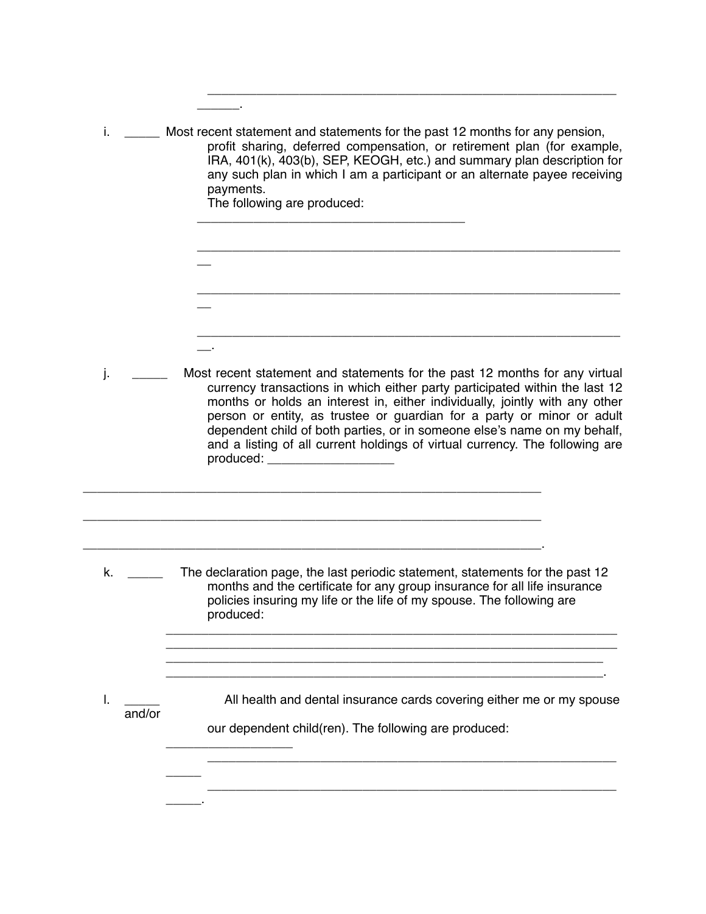| İ.           | Most recent statement and statements for the past 12 months for any pension,<br>profit sharing, deferred compensation, or retirement plan (for example,<br>IRA, 401(k), 403(b), SEP, KEOGH, etc.) and summary plan description for<br>any such plan in which I am a participant or an alternate payee receiving<br>payments.<br>The following are produced:                                                                                                                                                 |
|--------------|-------------------------------------------------------------------------------------------------------------------------------------------------------------------------------------------------------------------------------------------------------------------------------------------------------------------------------------------------------------------------------------------------------------------------------------------------------------------------------------------------------------|
|              |                                                                                                                                                                                                                                                                                                                                                                                                                                                                                                             |
|              |                                                                                                                                                                                                                                                                                                                                                                                                                                                                                                             |
|              |                                                                                                                                                                                                                                                                                                                                                                                                                                                                                                             |
|              |                                                                                                                                                                                                                                                                                                                                                                                                                                                                                                             |
| j.           | Most recent statement and statements for the past 12 months for any virtual<br>currency transactions in which either party participated within the last 12<br>months or holds an interest in, either individually, jointly with any other<br>person or entity, as trustee or guardian for a party or minor or adult<br>dependent child of both parties, or in someone else's name on my behalf,<br>and a listing of all current holdings of virtual currency. The following are<br>produced: ______________ |
|              |                                                                                                                                                                                                                                                                                                                                                                                                                                                                                                             |
|              |                                                                                                                                                                                                                                                                                                                                                                                                                                                                                                             |
| k.           | The declaration page, the last periodic statement, statements for the past 12<br>months and the certificate for any group insurance for all life insurance<br>policies insuring my life or the life of my spouse. The following are<br>produced:                                                                                                                                                                                                                                                            |
|              |                                                                                                                                                                                                                                                                                                                                                                                                                                                                                                             |
| I.<br>and/or | All health and dental insurance cards covering either me or my spouse                                                                                                                                                                                                                                                                                                                                                                                                                                       |
|              | our dependent child(ren). The following are produced:                                                                                                                                                                                                                                                                                                                                                                                                                                                       |
|              |                                                                                                                                                                                                                                                                                                                                                                                                                                                                                                             |
|              |                                                                                                                                                                                                                                                                                                                                                                                                                                                                                                             |

\_\_\_\_\_\_\_\_\_\_\_\_\_\_\_\_\_\_\_\_\_\_\_\_\_\_\_\_\_\_\_\_\_\_\_\_\_\_\_\_\_\_\_\_\_\_\_\_\_\_\_\_\_\_\_\_\_\_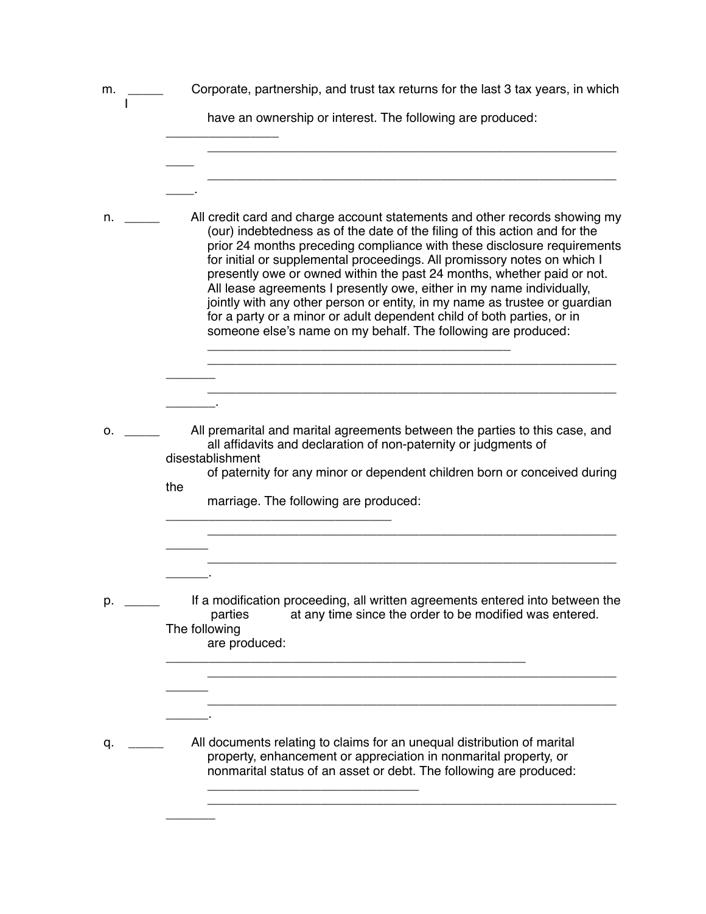| m. | Corporate, partnership, and trust tax returns for the last 3 tax years, in which                                                                                                                                                                                                                                                                                                                                                                                                                                                                                                                                                                                                            |
|----|---------------------------------------------------------------------------------------------------------------------------------------------------------------------------------------------------------------------------------------------------------------------------------------------------------------------------------------------------------------------------------------------------------------------------------------------------------------------------------------------------------------------------------------------------------------------------------------------------------------------------------------------------------------------------------------------|
|    | have an ownership or interest. The following are produced:                                                                                                                                                                                                                                                                                                                                                                                                                                                                                                                                                                                                                                  |
|    |                                                                                                                                                                                                                                                                                                                                                                                                                                                                                                                                                                                                                                                                                             |
| n. | All credit card and charge account statements and other records showing my<br>(our) indebtedness as of the date of the filing of this action and for the<br>prior 24 months preceding compliance with these disclosure requirements<br>for initial or supplemental proceedings. All promissory notes on which I<br>presently owe or owned within the past 24 months, whether paid or not.<br>All lease agreements I presently owe, either in my name individually,<br>jointly with any other person or entity, in my name as trustee or guardian<br>for a party or a minor or adult dependent child of both parties, or in<br>someone else's name on my behalf. The following are produced: |
|    |                                                                                                                                                                                                                                                                                                                                                                                                                                                                                                                                                                                                                                                                                             |
| о. | All premarital and marital agreements between the parties to this case, and<br>all affidavits and declaration of non-paternity or judgments of<br>disestablishment<br>of paternity for any minor or dependent children born or conceived during<br>the<br>marriage. The following are produced:                                                                                                                                                                                                                                                                                                                                                                                             |
|    |                                                                                                                                                                                                                                                                                                                                                                                                                                                                                                                                                                                                                                                                                             |
| р. | If a modification proceeding, all written agreements entered into between the<br>parties<br>at any time since the order to be modified was entered.<br>The following<br>are produced:                                                                                                                                                                                                                                                                                                                                                                                                                                                                                                       |
|    |                                                                                                                                                                                                                                                                                                                                                                                                                                                                                                                                                                                                                                                                                             |
| q. | All documents relating to claims for an unequal distribution of marital<br>property, enhancement or appreciation in nonmarital property, or<br>nonmarital status of an asset or debt. The following are produced:                                                                                                                                                                                                                                                                                                                                                                                                                                                                           |

 $\overline{\phantom{a}}$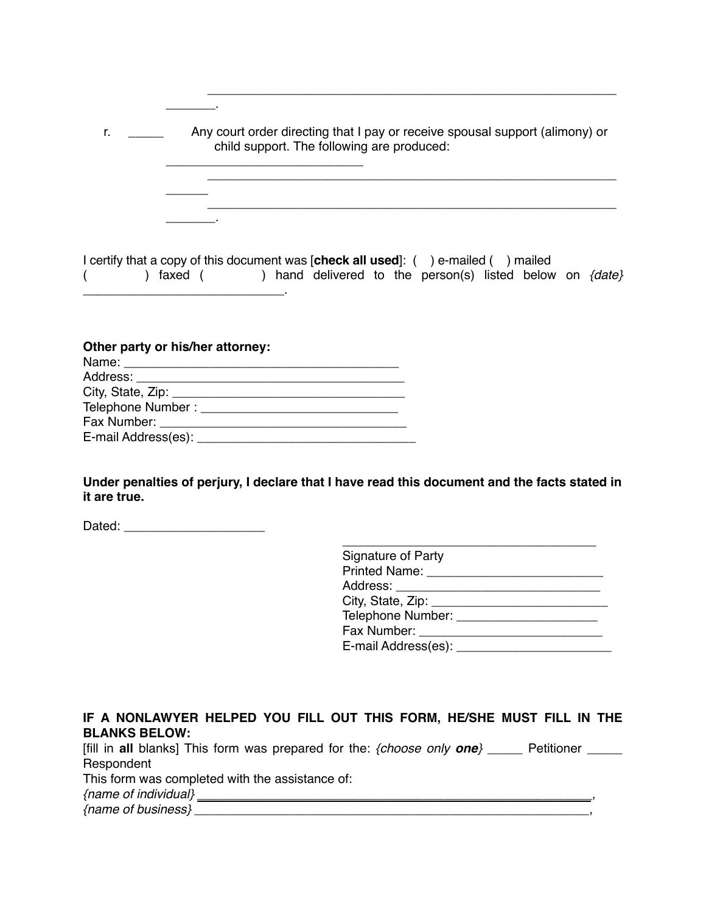| r. | Any court order directing that I pay or receive spousal support (alimony) or<br>child support. The following are produced: |  |  |
|----|----------------------------------------------------------------------------------------------------------------------------|--|--|
|    |                                                                                                                            |  |  |
|    |                                                                                                                            |  |  |
|    | I certify that a copy of this document was [ <b>check all used</b> ]: (<br>) e-mailed (<br>mailed                          |  |  |

( ) faxed ( ) hand delivered to the person(s) listed below on *{date}* \_\_\_\_\_\_\_\_\_\_\_\_\_\_\_\_\_\_\_\_\_\_\_\_\_\_\_\_\_.

| Other party or his/her attorney:       |  |  |  |
|----------------------------------------|--|--|--|
|                                        |  |  |  |
| Address: _____________________________ |  |  |  |
|                                        |  |  |  |
|                                        |  |  |  |
|                                        |  |  |  |
| E-mail Address(es): ___________        |  |  |  |

 $\mathbb{Z}$ 

**Under penalties of perjury, I declare that I have read this document and the facts stated in it are true.** 

Dated: \_\_\_\_\_\_\_\_\_\_\_\_\_\_\_\_\_\_\_\_

**IF A NONLAWYER HELPED YOU FILL OUT THIS FORM, HE/SHE MUST FILL IN THE BLANKS BELOW:**

| [fill in all blanks] This form was prepared for the: $\{choose$ only one $\}$<br>Petitioner |  |
|---------------------------------------------------------------------------------------------|--|
| Respondent                                                                                  |  |
| This form was completed with the assistance of:                                             |  |
| {name of individual}                                                                        |  |
| {name of business}                                                                          |  |